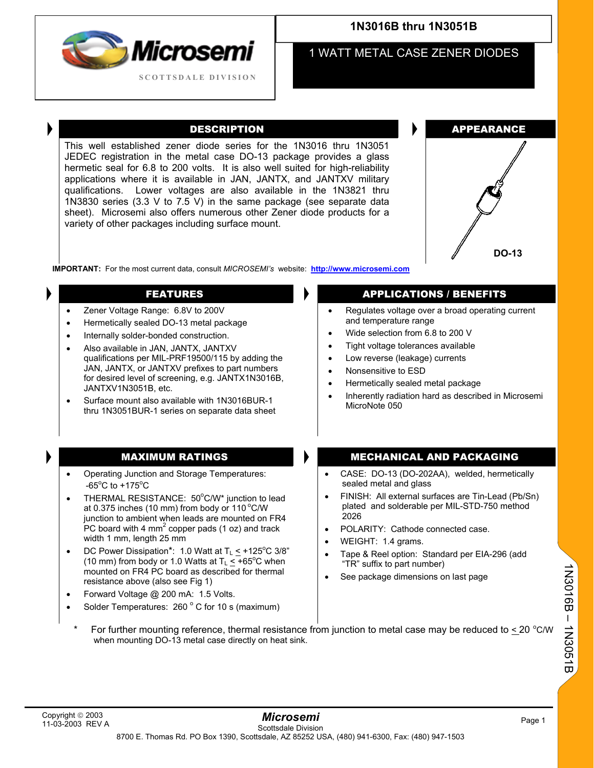

# **1N3016B thru 1N3051B**

1 WATT METAL CASE ZENER DIODES

This well established zener diode series for the 1N3016 thru 1N3051 JEDEC registration in the metal case DO-13 package provides a glass hermetic seal for 6.8 to 200 volts. It is also well suited for high-reliability applications where it is available in JAN, JANTX, and JANTXV military qualifications. Lower voltages are also available in the 1N3821 thru 1N3830 series (3.3 V to 7.5 V) in the same package (see separate data sheet). Microsemi also offers numerous other Zener diode products for a variety of other packages including surface mount.



**IMPORTANT:** For the most current data, consult *MICROSEMI's* website: **[http://www.microsemi.com](http://www.microsemi.com/)**

- Zener Voltage Range: 6.8V to 200V
- Hermetically sealed DO-13 metal package
- Internally solder-bonded construction.
- Also available in JAN, JANTX, JANTXV qualifications per MIL-PRF19500/115 by adding the JAN, JANTX, or JANTXV prefixes to part numbers for desired level of screening, e.g. JANTX1N3016B, JANTXV1N3051B, etc.
- Surface mount also available with 1N3016BUR-1 thru 1N3051BUR-1 series on separate data sheet

- Operating Junction and Storage Temperatures:  $-65^{\circ}$ C to  $+175^{\circ}$ C
- THERMAL RESISTANCE:  $50^{\circ}$ C/W\* junction to lead at 0.375 inches (10 mm) from body or 110 $^{\circ}$ C/W junction to ambient when leads are mounted on FR4  $\overline{P}$ C board with 4 mm<sup>2</sup> copper pads (1 oz) and track width 1 mm, length 25 mm
- DC Power Dissipation\*: 1.0 Watt at  $T_L \leq +125^{\circ}C$  3/8" (10 mm) from body or 1.0 Watts at  $T_L \leq +65^{\circ}C$  when mounted on FR4 PC board as described for thermal resistance above (also see Fig 1)
- Forward Voltage @ 200 mA: 1.5 Volts.
- Solder Temperatures:  $260^{\circ}$  C for 10 s (maximum)

## FEATURES **APPLICATIONS** / BENEFITS

- Regulates voltage over a broad operating current and temperature range
- Wide selection from 6.8 to 200 V
- Tight voltage tolerances available
- Low reverse (leakage) currents
- Nonsensitive to ESD
- Hermetically sealed metal package
- Inherently radiation hard as described in Microsemi MicroNote 050

## MAXIMUM RATINGS MECHANICAL AND PACKAGING

- CASE: DO-13 (DO-202AA), welded, hermetically sealed metal and glass
- FINISH: All external surfaces are Tin-Lead (Pb/Sn) plated and solderable per MIL-STD-750 method 2026
- POLARITY: Cathode connected case.
- WEIGHT: 1.4 grams.
- Tape & Reel option: Standard per EIA-296 (add "TR" suffix to part number)
- See package dimensions on last page

1N3016B – 1N3051B

1N3010B - 1N3051B